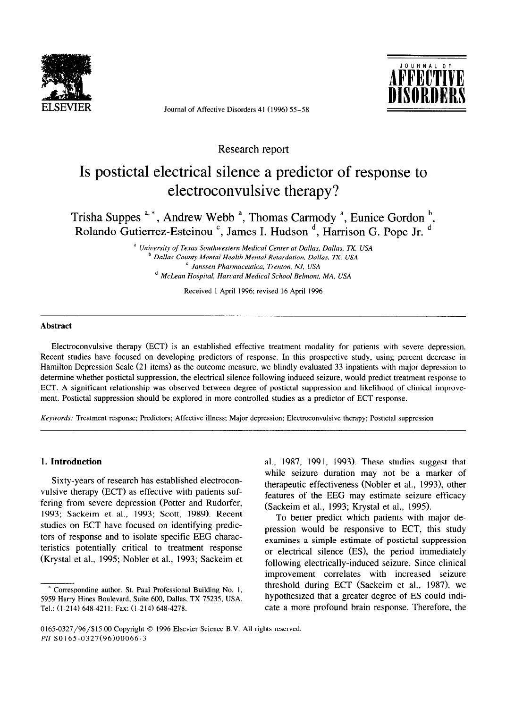

Journal of Affective Disorders 41 (1996) 55-58



Research report

# Is postictal electrical silence a predictor of response to electroconvulsive therapy?

Trisha Suppes <sup>a, \*</sup>, Andrew Webb<sup>a</sup>, Thomas Carmody<sup>a</sup>, Eunice Gordon<sup>b</sup>, Rolando Gutierrez-Esteinou <sup>c</sup>, James I. Hudson <sup>d</sup>, Harrison G. Pope Jr. <sup>d</sup>

> a *University of Texas Southwestern Medical Center at Dallas, Dallas, TX, USA*  <sup>b</sup> Dallas County Mental Health Mental Retardation, Dallas, TX, USA *' Janssen Pharmaceutics, Trenton, NJ, USA d McLean Hospital, Harvard Medical School Belmont. MA, USA*

> > Received 1 April 1996; revised 16 April 1996

#### **Abstract**

Electroconvulsive therapy (ECT) is an established effective treatment modality for patients with severe depression. Recent studies have focused on developing predictors of response. In this prospective study, using percent decrease in Hamilton Depression Scale (21 items) as the outcome measure, we blindly evaluated 33 inpatients with major depression to determine whether postictal suppression, the electrical silence following induced seizure, would predict treatment response to ECT. A significant relationship was observed between degree of postictal suppression and likelihood of clinical improvement. Postictal suppression should be explored in more controlled studies as a predictor of ECT response.

*Keywords:* Treatment response; Predictors; Affective illness; Major depression; Electroconvulsive therapy; Postictal suppression

#### **1. Introduction**

Sixty-years of research has established electroconvulsive therapy (ECT) as effective with patients suffering from severe depression (Potter and Rudorfer, 1993; Sackeim et al., 1993; Scott, 1989). Recent studies on ECT have focused on identifying predictors of response and to isolate specific EEG characteristics potentially critical to treatment response (Krystal et al., 1995; Nobler et al., 1993; Sackeim et al., 1987, 1991, 1993). These studies suggest that while seizure duration may not be a marker of therapeutic effectiveness (Nobler et al., 1993), other features of the EEG may estimate seizure efficacy (Sackeim et al., 1993; Krystal et al., 1995).

To better predict which patients with major depression would be responsive to ECT, this study examines a simple estimate of postictal suppression or electrical silence (ES), the period immediately following electrically-induced seizure. Since clinical improvement correlates with increased seizure threshold during ECT (Sackeim et al., 1987), we hypothesized that a greater degree of ES could indicate a more profound brain response. Therefore, the

Corresponding author. St. Paul Professional Building No. 1, 5959 Harry Hines Boulevard, Suite 600, Dallas, TX 75235, USA. Tel.: (l-214) 648-4211; Fax: (l-214) 648-4278.

<sup>0165-0327/96/\$15.00</sup> Copyright © 1996 Elsevier Science B.V. All rights reserved. *PII SOl65-0327(96)00066-3*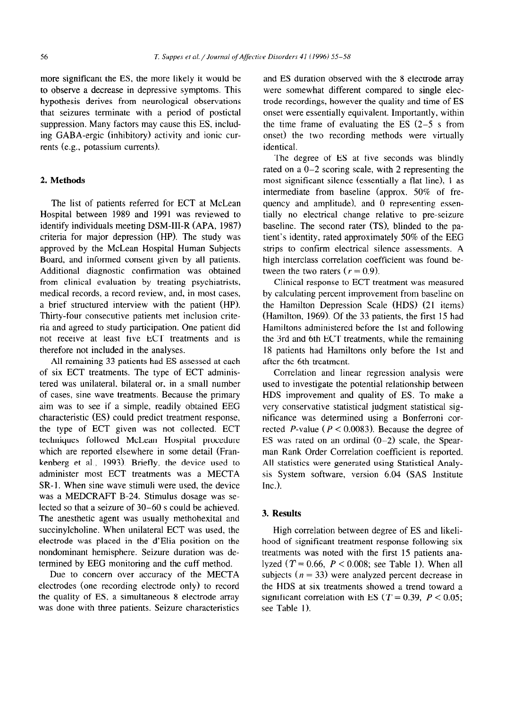more significant the ES, the more likely it would be and ES duration observed with the 8 electrode array rents (e.g., potassium currents). identical.

### 2. **Methods**

The list of patients referred for ECT at McLean Hospital between 1989 and 1991 was reviewed to identify individuals meeting DSM-III-R (APA, 1987) criteria for major depression (HP). The study was approved by the McLean Hospital Human Subjects Board, and informed consent given by all patients. Additional diagnostic confirmation was obtained from clinical evaluation by treating psychiatrists, medical records, a record review, and, in most cases, a brief structured interview with the patient (HP). Thirty-four consecutive patients met inclusion criteria and agreed to study participation. One patient did not receive at least five ECT treatments and is therefore not included in the analyses.

All remaining 33 patients had ES assessed at each of six ECT treatments. The type of ECT administered was unilateral, bilateral or, in a small number of cases, sine wave treatments. Because the primary aim was to see if a simple, readily obtained EEG characteristic (ES) could predict treatment response, the type of ECT given was not collected. ECT techniques followed McLean Hospital procedure which are reported elsewhere in some detail (Frankenberg et al., 1993). Briefly, the device used to administer most ECT treatments was a MECTA SR-1. When sine wave stimuli were used, the device was a MEDCRAFT B-24. Stimulus dosage was selected so that a seizure of 30-60 s could be achieved. The anesthetic agent was usually methohexital and succinylcholine. When unilateral ECT was used, the electrode was placed in the d'Elia position on the nondominant hemisphere. Seizure duration was determined by EEG monitoring and the cuff method.

Due to concern over accuracy of the MECTA electrodes (one recording electrode only) to record the quality of ES, a simultaneous 8 electrode array was done with three patients. Seizure characteristics

to observe a decrease in depressive symptoms. This were somewhat different compared to single elechypothesis derives from neurological observations trode recordings, however the quality and time of ES that seizures terminate with a period of postictal onset were essentially equivalent. Importantly, within suppression. Many factors may cause this ES, includ- the time frame of evaluating the ES  $(2-5 \text{ s from})$ ing GABA-ergic (inhibitory) activity and ionic cur- onset) the two recording methods were virtually

> The degree of ES at five seconds was blindly rated on a O-2 scoring scale, with 2 representing the most significant silence (essentially a flat line), 1 as intermediate from baseline (approx. 50% of frequency and amplitude), and 0 representing essentially no electrical change relative to pre-seizure baseline. The second rater (TS), blinded to the patient's identity, rated approximately 50% of the EEG strips to confirm electrical silence assessments. A high interclass correlation coefficient was found between the two raters  $(r = 0.9)$ .

> Clinical response to ECT treatment was measured by calculating percent improvement from baseline on the Hamilton Depression Scale (HDS) (21 items) (Hamilton, 1969). Of the 33 patients, the first 15 had Hamiltons administered before the 1st and following the 3rd and 6th ECT treatments, while the remaining 18 patients had Hamiltons only before the 1st and after the 6th treatment.

> Correlation and linear regression analysis were used to investigate the potential relationship between HDS improvement and quality of ES. To make a very conservative statistical judgment statistical significance was determined using a Bonferroni corrected *P*-value ( $P < 0.0083$ ). Because the degree of ES was rated on an ordinal  $(0-2)$  scale, the Spearman Rank Order Correlation coefficient is reported. All statistics were generated using Statistical Analysis System software, version 6.04 (SAS Institute Inc.).

## 3. **Results**

High correlation between degree of ES and likelihood of significant treatment response following six treatments was noted with the first 15 patients analyzed  $(T = 0.66, P < 0.008$ ; see Table 1). When all subjects ( $n = 33$ ) were analyzed percent decrease in the HDS at six treatments showed a trend toward a significant correlation with ES ( $T = 0.39$ ,  $P < 0.05$ ; see Table 1).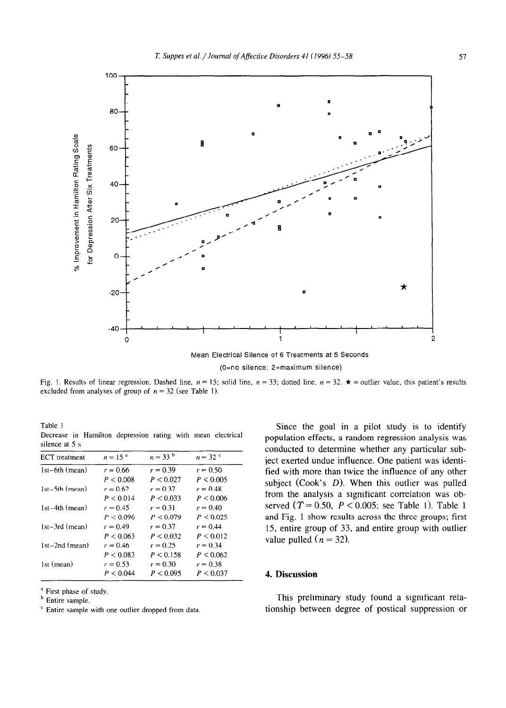

Fig. 1. Results of linear regression. Dashed line,  $n = 15$ ; solid line,  $n = 33$ ; dotted line,  $n = 32$ .  $\star$  = outlier value, this patient's results excluded from analyses of group of  $n = 32$  (see Table 1).

Table 1 **Decrease in Hamilton depression rating with mean electrical silence at 5 s** 

| <b>ECT</b> treatment | $n = 15^{a}$ | $n = 33^{b}$ | $n = 32$   |
|----------------------|--------------|--------------|------------|
| $1st-6th$ (mean)     | $r = 0.66$   | $r = 0.39$   | $r = 0.50$ |
|                      | P < 0.008    | P < 0.027    | P < 0.005  |
| 1st-5th (mean)       | $r = 0.62$   | $r = 0.37$   | $r = 0.48$ |
|                      | P < 0.014    | P < 0.033    | P < 0.006  |
| $1st-4th$ (mean)     | $r = 0.45$   | $r = 0.31$   | $r = 0.40$ |
|                      | P < 0.096    | P < 0.079    | P < 0.025  |
| $1st-3rd$ (mean)     | $r = 0.49$   | $r = 0.37$   | $r = 0.44$ |
|                      | P < 0.063    | P < 0.032    | P < 0.012  |
| $1st-2nd$ (mean)     | $r = 0.46$   | $r = 0.25$   | $r = 0.34$ |
|                      | P < 0.083    | P < 0.158    | P < 0.062  |
| 1st (mean)           | $r = 0.53$   | $r = 0.30$   | $r = 0.38$ |
|                      | P < 0.044    | P < 0.095    | P < 0.037  |

<sup>a</sup> First phase of study.

**b Entire sample.** 

**' Entire sample with one outlier dropped from data.** 

Since the goal in a pilot study is to identify population effects, a random regression analysis was conducted to determine whether any particular subject exerted undue influence. One patient was identified with more than twice the influence of any other subject (Cook's  $D$ ). When this outlier was pulled from the analysis a significant correlation was observed  $(T = 0.50, P < 0.005$ ; see Table 1). Table 1 and Fig. 1 show results across the three groups; first 15, entire group of 33, and entire group with outlier value pulled ( $n = 32$ ).

## 4. **Discussion**

This preliminary study found a significant relationship between degree of postical suppression or